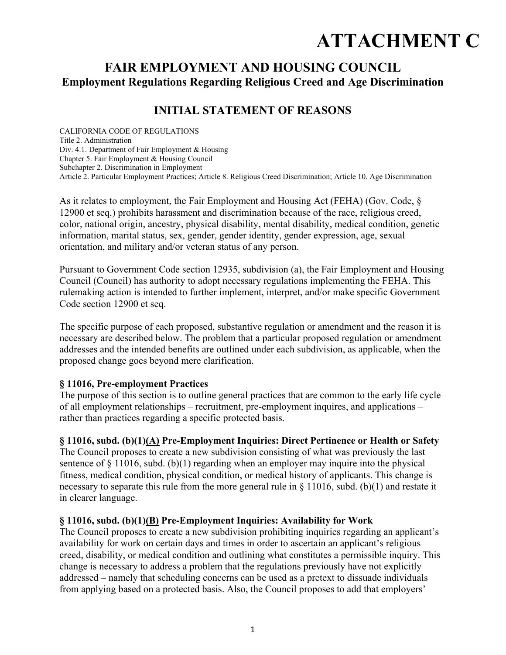# **ATTACHMENT C**

# **FAIR EMPLOYMENT AND HOUSING COUNCIL Employment Regulations Regarding Religious Creed and Age Discrimination**

# **INITIAL STATEMENT OF REASONS**

CALIFORNIA CODE OF REGULATIONS Title 2. Administration Div. 4.1. Department of Fair Employment & Housing Chapter 5. Fair Employment & Housing Council Subchapter 2. Discrimination in Employment Article 2. Particular Employment Practices; Article 8. Religious Creed Discrimination; Article 10. Age Discrimination

As it relates to employment, the Fair Employment and Housing Act (FEHA) (Gov. Code, § 12900 et seq.) prohibits harassment and discrimination because of the race, religious creed, color, national origin, ancestry, physical disability, mental disability, medical condition, genetic information, marital status, sex, gender, gender identity, gender expression, age, sexual orientation, and military and/or veteran status of any person.

Pursuant to Government Code section 12935, subdivision (a), the Fair Employment and Housing Council (Council) has authority to adopt necessary regulations implementing the FEHA. This rulemaking action is intended to further implement, interpret, and/or make specific Government Code section 12900 et seq.

The specific purpose of each proposed, substantive regulation or amendment and the reason it is necessary are described below. The problem that a particular proposed regulation or amendment addresses and the intended benefits are outlined under each subdivision, as applicable, when the proposed change goes beyond mere clarification.

#### **§ 11016, Pre-employment Practices**

The purpose of this section is to outline general practices that are common to the early life cycle of all employment relationships – recruitment, pre-employment inquires, and applications – rather than practices regarding a specific protected basis.

#### **§ 11016, subd. (b)(1)(A) Pre-Employment Inquiries: Direct Pertinence or Health or Safety**

The Council proposes to create a new subdivision consisting of what was previously the last sentence of  $\S$  11016, subd. (b)(1) regarding when an employer may inquire into the physical fitness, medical condition, physical condition, or medical history of applicants. This change is necessary to separate this rule from the more general rule in § 11016, subd. (b)(1) and restate it in clearer language.

#### **§ 11016, subd. (b)(1)(B) Pre-Employment Inquiries: Availability for Work**

The Council proposes to create a new subdivision prohibiting inquiries regarding an applicant's availability for work on certain days and times in order to ascertain an applicant's religious creed, disability, or medical condition and outlining what constitutes a permissible inquiry. This change is necessary to address a problem that the regulations previously have not explicitly addressed – namely that scheduling concerns can be used as a pretext to dissuade individuals from applying based on a protected basis. Also, the Council proposes to add that employers'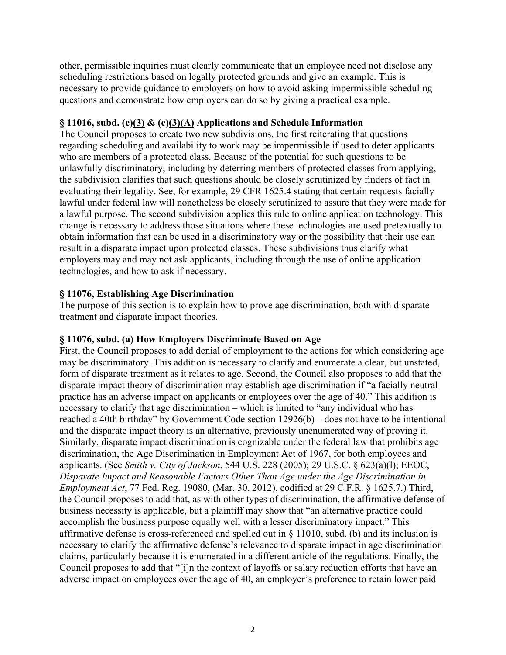other, permissible inquiries must clearly communicate that an employee need not disclose any scheduling restrictions based on legally protected grounds and give an example. This is necessary to provide guidance to employers on how to avoid asking impermissible scheduling questions and demonstrate how employers can do so by giving a practical example.

#### **§ 11016, subd. (c)(3) & (c)(3)(A) Applications and Schedule Information**

The Council proposes to create two new subdivisions, the first reiterating that questions regarding scheduling and availability to work may be impermissible if used to deter applicants who are members of a protected class. Because of the potential for such questions to be unlawfully discriminatory, including by deterring members of protected classes from applying, the subdivision clarifies that such questions should be closely scrutinized by finders of fact in evaluating their legality. See, for example, 29 CFR 1625.4 stating that certain requests facially lawful under federal law will nonetheless be closely scrutinized to assure that they were made for a lawful purpose. The second subdivision applies this rule to online application technology. This change is necessary to address those situations where these technologies are used pretextually to obtain information that can be used in a discriminatory way or the possibility that their use can result in a disparate impact upon protected classes. These subdivisions thus clarify what employers may and may not ask applicants, including through the use of online application technologies, and how to ask if necessary.

#### **§ 11076, Establishing Age Discrimination**

The purpose of this section is to explain how to prove age discrimination, both with disparate treatment and disparate impact theories.

#### **§ 11076, subd. (a) How Employers Discriminate Based on Age**

First, the Council proposes to add denial of employment to the actions for which considering age may be discriminatory. This addition is necessary to clarify and enumerate a clear, but unstated, form of disparate treatment as it relates to age. Second, the Council also proposes to add that the disparate impact theory of discrimination may establish age discrimination if "a facially neutral practice has an adverse impact on applicants or employees over the age of 40." This addition is necessary to clarify that age discrimination – which is limited to "any individual who has reached a 40th birthday" by Government Code section 12926(b) – does not have to be intentional and the disparate impact theory is an alternative, previously unenumerated way of proving it. Similarly, disparate impact discrimination is cognizable under the federal law that prohibits age discrimination, the Age Discrimination in Employment Act of 1967, for both employees and applicants. (See *Smith v. City of Jackson*, 544 U.S. 228 (2005); 29 U.S.C. § 623(a)(l); EEOC, *Disparate Impact and Reasonable Factors Other Than Age under the Age Discrimination in Employment Act*, 77 Fed. Reg. 19080, (Mar. 30, 2012), codified at 29 C.F.R. § 1625.7.) Third, the Council proposes to add that, as with other types of discrimination, the affirmative defense of business necessity is applicable, but a plaintiff may show that "an alternative practice could accomplish the business purpose equally well with a lesser discriminatory impact." This affirmative defense is cross-referenced and spelled out in § 11010, subd. (b) and its inclusion is necessary to clarify the affirmative defense's relevance to disparate impact in age discrimination claims, particularly because it is enumerated in a different article of the regulations. Finally, the Council proposes to add that "[i]n the context of layoffs or salary reduction efforts that have an adverse impact on employees over the age of 40, an employer's preference to retain lower paid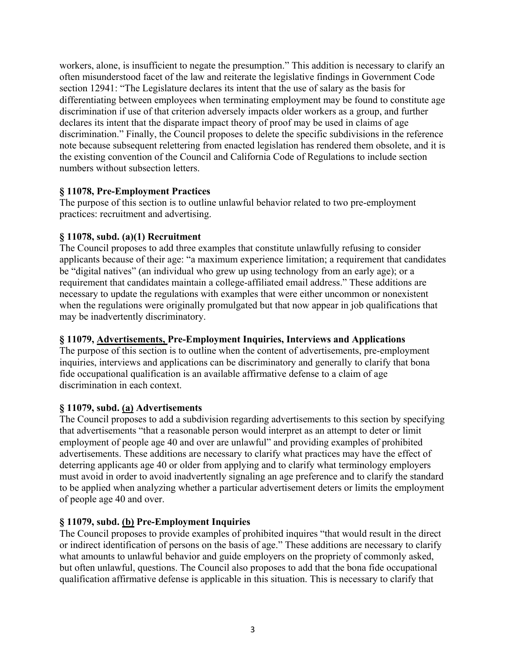workers, alone, is insufficient to negate the presumption." This addition is necessary to clarify an often misunderstood facet of the law and reiterate the legislative findings in Government Code section 12941: "The Legislature declares its intent that the use of salary as the basis for differentiating between employees when terminating employment may be found to constitute age discrimination if use of that criterion adversely impacts older workers as a group, and further declares its intent that the disparate impact theory of proof may be used in claims of age discrimination." Finally, the Council proposes to delete the specific subdivisions in the reference note because subsequent relettering from enacted legislation has rendered them obsolete, and it is the existing convention of the Council and California Code of Regulations to include section numbers without subsection letters.

#### **§ 11078, Pre-Employment Practices**

The purpose of this section is to outline unlawful behavior related to two pre-employment practices: recruitment and advertising.

# **§ 11078, subd. (a)(1) Recruitment**

The Council proposes to add three examples that constitute unlawfully refusing to consider applicants because of their age: "a maximum experience limitation; a requirement that candidates be "digital natives" (an individual who grew up using technology from an early age); or a requirement that candidates maintain a college-affiliated email address." These additions are necessary to update the regulations with examples that were either uncommon or nonexistent when the regulations were originally promulgated but that now appear in job qualifications that may be inadvertently discriminatory.

# **§ 11079, Advertisements, Pre-Employment Inquiries, Interviews and Applications**

The purpose of this section is to outline when the content of advertisements, pre-employment inquiries, interviews and applications can be discriminatory and generally to clarify that bona fide occupational qualification is an available affirmative defense to a claim of age discrimination in each context.

# **§ 11079, subd. (a) Advertisements**

The Council proposes to add a subdivision regarding advertisements to this section by specifying that advertisements "that a reasonable person would interpret as an attempt to deter or limit employment of people age 40 and over are unlawful" and providing examples of prohibited advertisements. These additions are necessary to clarify what practices may have the effect of deterring applicants age 40 or older from applying and to clarify what terminology employers must avoid in order to avoid inadvertently signaling an age preference and to clarify the standard to be applied when analyzing whether a particular advertisement deters or limits the employment of people age 40 and over.

# **§ 11079, subd. (b) Pre-Employment Inquiries**

The Council proposes to provide examples of prohibited inquires "that would result in the direct or indirect identification of persons on the basis of age." These additions are necessary to clarify what amounts to unlawful behavior and guide employers on the propriety of commonly asked, but often unlawful, questions. The Council also proposes to add that the bona fide occupational qualification affirmative defense is applicable in this situation. This is necessary to clarify that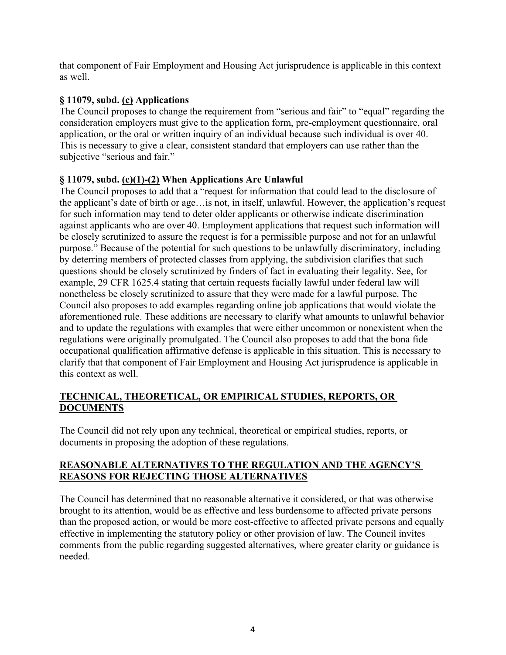that component of Fair Employment and Housing Act jurisprudence is applicable in this context as well.

# **§ 11079, subd. (c) Applications**

The Council proposes to change the requirement from "serious and fair" to "equal" regarding the consideration employers must give to the application form, pre-employment questionnaire, oral application, or the oral or written inquiry of an individual because such individual is over 40. This is necessary to give a clear, consistent standard that employers can use rather than the subjective "serious and fair."

## **§ 11079, subd. (c)(1)-(2) When Applications Are Unlawful**

The Council proposes to add that a "request for information that could lead to the disclosure of the applicant's date of birth or age…is not, in itself, unlawful. However, the application's request for such information may tend to deter older applicants or otherwise indicate discrimination against applicants who are over 40. Employment applications that request such information will be closely scrutinized to assure the request is for a permissible purpose and not for an unlawful purpose." Because of the potential for such questions to be unlawfully discriminatory, including by deterring members of protected classes from applying, the subdivision clarifies that such questions should be closely scrutinized by finders of fact in evaluating their legality. See, for example, 29 CFR 1625.4 stating that certain requests facially lawful under federal law will nonetheless be closely scrutinized to assure that they were made for a lawful purpose. The Council also proposes to add examples regarding online job applications that would violate the aforementioned rule. These additions are necessary to clarify what amounts to unlawful behavior and to update the regulations with examples that were either uncommon or nonexistent when the regulations were originally promulgated. The Council also proposes to add that the bona fide occupational qualification affirmative defense is applicable in this situation. This is necessary to clarify that that component of Fair Employment and Housing Act jurisprudence is applicable in this context as well.

## **TECHNICAL, THEORETICAL, OR EMPIRICAL STUDIES, REPORTS, OR DOCUMENTS**

The Council did not rely upon any technical, theoretical or empirical studies, reports, or documents in proposing the adoption of these regulations.

#### **REASONABLE ALTERNATIVES TO THE REGULATION AND THE AGENCY'S REASONS FOR REJECTING THOSE ALTERNATIVES**

The Council has determined that no reasonable alternative it considered, or that was otherwise brought to its attention, would be as effective and less burdensome to affected private persons than the proposed action, or would be more cost-effective to affected private persons and equally effective in implementing the statutory policy or other provision of law. The Council invites comments from the public regarding suggested alternatives, where greater clarity or guidance is needed.